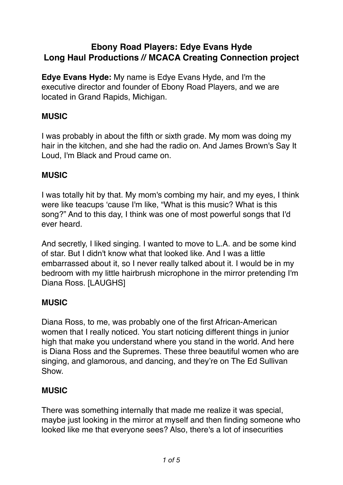# **Ebony Road Players: Edye Evans Hyde Long Haul Productions // MCACA Creating Connection project**

**Edye Evans Hyde:** My name is Edye Evans Hyde, and I'm the executive director and founder of Ebony Road Players, and we are located in Grand Rapids, Michigan.

# **MUSIC**

I was probably in about the fifth or sixth grade. My mom was doing my hair in the kitchen, and she had the radio on. And James Brown's Say It Loud, I'm Black and Proud came on.

## **MUSIC**

I was totally hit by that. My mom's combing my hair, and my eyes, I think were like teacups 'cause I'm like, "What is this music? What is this song?" And to this day, I think was one of most powerful songs that I'd ever heard.

And secretly, I liked singing. I wanted to move to L.A. and be some kind of star. But I didn't know what that looked like. And I was a little embarrassed about it, so I never really talked about it. I would be in my bedroom with my little hairbrush microphone in the mirror pretending I'm Diana Ross. [LAUGHS]

## **MUSIC**

Diana Ross, to me, was probably one of the first African-American women that I really noticed. You start noticing different things in junior high that make you understand where you stand in the world. And here is Diana Ross and the Supremes. These three beautiful women who are singing, and glamorous, and dancing, and they're on The Ed Sullivan Show.

## **MUSIC**

There was something internally that made me realize it was special, maybe just looking in the mirror at myself and then finding someone who looked like me that everyone sees? Also, there's a lot of insecurities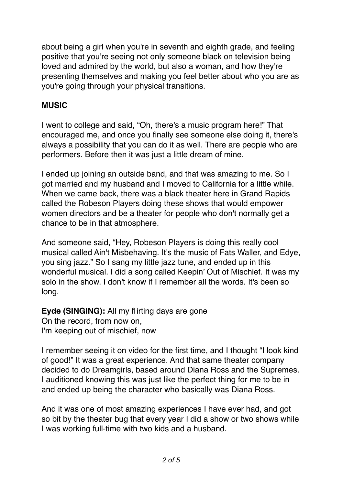about being a girl when you're in seventh and eighth grade, and feeling positive that you're seeing not only someone black on television being loved and admired by the world, but also a woman, and how they're presenting themselves and making you feel better about who you are as you're going through your physical transitions.

## **MUSIC**

I went to college and said, "Oh, there's a music program here!" That encouraged me, and once you finally see someone else doing it, there's always a possibility that you can do it as well. There are people who are performers. Before then it was just a little dream of mine.

I ended up joining an outside band, and that was amazing to me. So I got married and my husband and I moved to California for a little while. When we came back, there was a black theater here in Grand Rapids called the Robeson Players doing these shows that would empower women directors and be a theater for people who don't normally get a chance to be in that atmosphere.

And someone said, "Hey, Robeson Players is doing this really cool musical called Ain't Misbehaving. It's the music of Fats Waller, and Edye, you sing jazz." So I sang my little jazz tune, and ended up in this wonderful musical. I did a song called Keepin' Out of Mischief. It was my solo in the show. I don't know if I remember all the words. It's been so long.

**Eyde (SINGING):** All my flirting days are gone On the record, from now on, I'm keeping out of mischief, now

I remember seeing it on video for the first time, and I thought "I look kind of good!" It was a great experience. And that same theater company decided to do Dreamgirls, based around Diana Ross and the Supremes. I auditioned knowing this was just like the perfect thing for me to be in and ended up being the character who basically was Diana Ross.

And it was one of most amazing experiences I have ever had, and got so bit by the theater bug that every year I did a show or two shows while I was working full-time with two kids and a husband.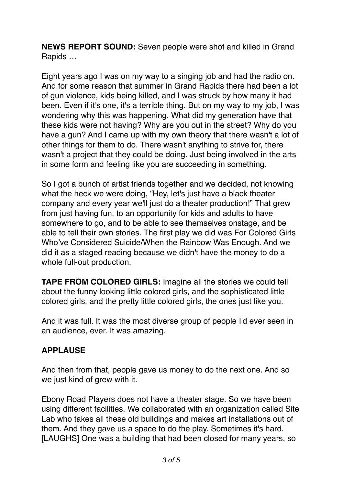**NEWS REPORT SOUND:** Seven people were shot and killed in Grand Rapids …

Eight years ago I was on my way to a singing job and had the radio on. And for some reason that summer in Grand Rapids there had been a lot of gun violence, kids being killed, and I was struck by how many it had been. Even if it's one, it's a terrible thing. But on my way to my job, I was wondering why this was happening. What did my generation have that these kids were not having? Why are you out in the street? Why do you have a gun? And I came up with my own theory that there wasn't a lot of other things for them to do. There wasn't anything to strive for, there wasn't a project that they could be doing. Just being involved in the arts in some form and feeling like you are succeeding in something.

So I got a bunch of artist friends together and we decided, not knowing what the heck we were doing, "Hey, let's just have a black theater company and every year we'll just do a theater production!" That grew from just having fun, to an opportunity for kids and adults to have somewhere to go, and to be able to see themselves onstage, and be able to tell their own stories. The first play we did was For Colored Girls Who've Considered Suicide/When the Rainbow Was Enough. And we did it as a staged reading because we didn't have the money to do a whole full-out production.

**TAPE FROM COLORED GIRLS:** Imagine all the stories we could tell about the funny looking little colored girls, and the sophisticated little colored girls, and the pretty little colored girls, the ones just like you.

And it was full. It was the most diverse group of people I'd ever seen in an audience, ever. It was amazing.

# **APPLAUSE**

And then from that, people gave us money to do the next one. And so we just kind of grew with it.

Ebony Road Players does not have a theater stage. So we have been using different facilities. We collaborated with an organization called Site Lab who takes all these old buildings and makes art installations out of them. And they gave us a space to do the play. Sometimes it's hard. [LAUGHS] One was a building that had been closed for many years, so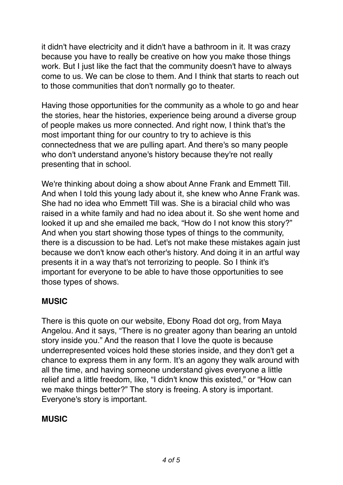it didn't have electricity and it didn't have a bathroom in it. It was crazy because you have to really be creative on how you make those things work. But I just like the fact that the community doesn't have to always come to us. We can be close to them. And I think that starts to reach out to those communities that don't normally go to theater.

Having those opportunities for the community as a whole to go and hear the stories, hear the histories, experience being around a diverse group of people makes us more connected. And right now, I think that's the most important thing for our country to try to achieve is this connectedness that we are pulling apart. And there's so many people who don't understand anyone's history because they're not really presenting that in school.

We're thinking about doing a show about Anne Frank and Emmett Till. And when I told this young lady about it, she knew who Anne Frank was. She had no idea who Emmett Till was. She is a biracial child who was raised in a white family and had no idea about it. So she went home and looked it up and she emailed me back, "How do I not know this story?" And when you start showing those types of things to the community, there is a discussion to be had. Let's not make these mistakes again just because we don't know each other's history. And doing it in an artful way presents it in a way that's not terrorizing to people. So I think it's important for everyone to be able to have those opportunities to see those types of shows.

## **MUSIC**

There is this quote on our website, Ebony Road dot org, from Maya Angelou. And it says, "There is no greater agony than bearing an untold story inside you." And the reason that I love the quote is because underrepresented voices hold these stories inside, and they don't get a chance to express them in any form. It's an agony they walk around with all the time, and having someone understand gives everyone a little relief and a little freedom, like, "I didn't know this existed," or "How can we make things better?" The story is freeing. A story is important. Everyone's story is important.

### **MUSIC**